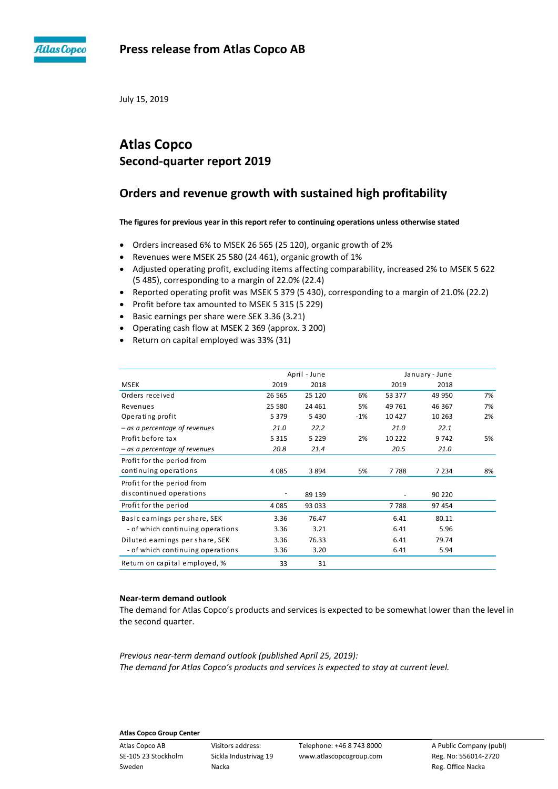

July 15, 2019

# **Atlas Copco Second-quarter report 2019**

# **Orders and revenue growth with sustained high profitability**

**The figures for previous year in this report refer to continuing operations unless otherwise stated**

- Orders increased 6% to MSEK 26 565 (25 120), organic growth of 2%
- Revenues were MSEK 25 580 (24 461), organic growth of 1%
- Adjusted operating profit, excluding items affecting comparability, increased 2% to MSEK 5 622 (5 485), corresponding to a margin of 22.0% (22.4)
- Reported operating profit was MSEK 5 379 (5 430), corresponding to a margin of 21.0% (22.2)
- Profit before tax amounted to MSEK 5 315 (5 229)
- Basic earnings per share were SEK 3.36 (3.21)
- Operating cash flow at MSEK 2 369 (approx. 3 200)
- Return on capital employed was 33% (31)

|                                  |         | April - June | January - June |        |         |    |
|----------------------------------|---------|--------------|----------------|--------|---------|----|
| <b>MSEK</b>                      | 2019    | 2018         |                | 2019   | 2018    |    |
| Orders received                  | 26 5 65 | 25 120       | 6%             | 53 377 | 49 950  | 7% |
| Revenues                         | 25 580  | 24 4 61      | 5%             | 49 761 | 46 367  | 7% |
| Operating profit                 | 5 3 7 9 | 5 4 3 0      | $-1%$          | 10 427 | 10 263  | 2% |
| - as a percentage of revenues    | 21.0    | 22.2         |                | 21.0   | 22.1    |    |
| Profit before tax                | 5 3 1 5 | 5 2 2 9      | 2%             | 10 222 | 9 7 4 2 | 5% |
| - as a percentage of revenues    | 20.8    | 21.4         |                | 20.5   | 21.0    |    |
| Profit for the period from       |         |              |                |        |         |    |
| continuing operations            | 4 0 8 5 | 3894         | 5%             | 7788   | 7 2 3 4 | 8% |
| Profit for the period from       |         |              |                |        |         |    |
| discontinued operations          |         | 89 139       |                |        | 90 220  |    |
| Profit for the period            | 4 0 8 5 | 93 033       |                | 7788   | 97 454  |    |
| Basic earnings per share, SEK    | 3.36    | 76.47        |                | 6.41   | 80.11   |    |
| - of which continuing operations | 3.36    | 3.21         |                | 6.41   | 5.96    |    |
| Diluted earnings per share, SEK  | 3.36    | 76.33        |                | 6.41   | 79.74   |    |
| - of which continuing operations | 3.36    | 3.20         |                | 6.41   | 5.94    |    |
| Return on capital employed, %    | 33      | 31           |                |        |         |    |

## **Near-term demand outlook**

The demand for Atlas Copco's products and services is expected to be somewhat lower than the level in the second quarter.

*Previous near-term demand outlook (published April 25, 2019): The demand for Atlas Copco's products and services is expected to stay at current level.*

## **Atlas Copco Group Center**

Sweden **Nacka** Nacka Reg. Office Nacka Reg. Office Nacka

Atlas Copco AB Visitors address: Telephone: +46 8 743 8000 A Public Company (publ) SE-105 23 Stockholm Sickla Industriväg 19 www.atlascopcogroup.com Reg. No: 556014-2720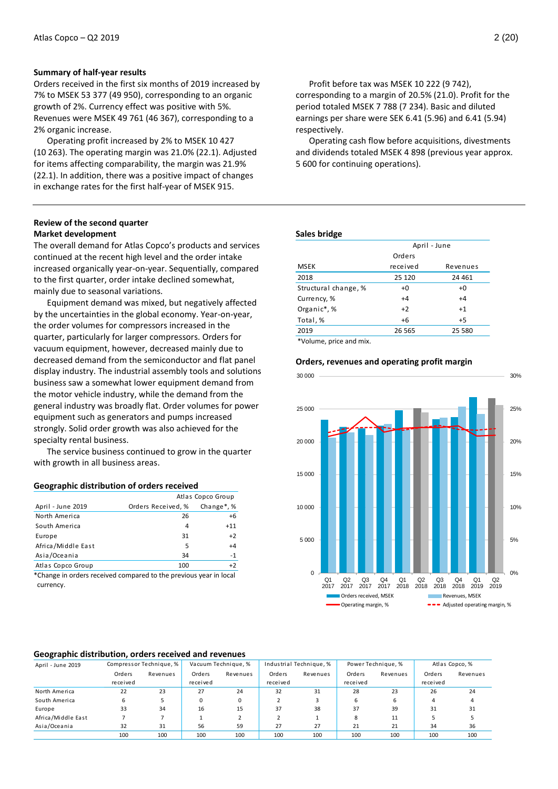## **Summary of half-year results**

Orders received in the first six months of 2019 increased by 7% to MSEK 53 377 (49 950), corresponding to an organic growth of 2%. Currency effect was positive with 5%. Revenues were MSEK 49 761 (46 367), corresponding to a 2% organic increase.

Operating profit increased by 2% to MSEK 10 427 (10 263). The operating margin was 21.0% (22.1). Adjusted for items affecting comparability, the margin was 21.9% (22.1). In addition, there was a positive impact of changes in exchange rates for the first half-year of MSEK 915.

## **Review of the second quarter Market development**

The overall demand for Atlas Copco's products and services continued at the recent high level and the order intake increased organically year-on-year. Sequentially, compared to the first quarter, order intake declined somewhat, mainly due to seasonal variations.

Equipment demand was mixed, but negatively affected by the uncertainties in the global economy. Year-on-year, the order volumes for compressors increased in the quarter, particularly for larger compressors. Orders for vacuum equipment, however, decreased mainly due to decreased demand from the semiconductor and flat panel display industry. The industrial assembly tools and solutions business saw a somewhat lower equipment demand from the motor vehicle industry, while the demand from the general industry was broadly flat. Order volumes for power equipment such as generators and pumps increased strongly. Solid order growth was also achieved for the specialty rental business.

The service business continued to grow in the quarter with growth in all business areas.

#### **Geographic distribution of orders received**

|                    |                    | Atlas Copco Group       |
|--------------------|--------------------|-------------------------|
| April - June 2019  | Orders Received, % | Change <sup>*</sup> , % |
| North America      | 26                 | $+6$                    |
| South America      | 4                  | $+11$                   |
| Europe             | 31                 | $+2$                    |
| Africa/Middle East | 5                  | $+4$                    |
| Asia/Oceania       | 34                 | $-1$                    |
| Atlas Copco Group  | 100                | $+2$                    |

\*Change in orders received compared to the previous year in local currency.

Profit before tax was MSEK 10 222 (9 742), corresponding to a margin of 20.5% (21.0). Profit for the period totaled MSEK 7 788 (7 234). Basic and diluted earnings per share were SEK 6.41 (5.96) and 6.41 (5.94) respectively.

Operating cash flow before acquisitions, divestments and dividends totaled MSEK 4 898 (previous year approx. 5 600 for continuing operations).

#### **Sales bridge**

|                      | April - June |          |  |  |  |  |
|----------------------|--------------|----------|--|--|--|--|
|                      | Orders       |          |  |  |  |  |
| <b>MSEK</b>          | received     | Revenues |  |  |  |  |
| 2018                 | 25 120       | 24 4 61  |  |  |  |  |
| Structural change, % | +0           | $+0$     |  |  |  |  |
| Currency, %          | $+4$         | $+4$     |  |  |  |  |
| Organic*,%           | $+2$         | $+1$     |  |  |  |  |
| Total, %             | $+6$         | $+5$     |  |  |  |  |
| 2019                 | 26 5 65      | 25 580   |  |  |  |  |
|                      |              |          |  |  |  |  |

\*Volume, price and mix.

#### **Orders, revenues and operating profit margin**



#### **Geographic distribution, orders received and revenues**

| April - June 2019  | Compressor Technique, % |          | Vacuum Technique, % |          | Industrial Technique, % |          | Power Technique, % |          | Atlas Copco, % |          |
|--------------------|-------------------------|----------|---------------------|----------|-------------------------|----------|--------------------|----------|----------------|----------|
|                    | Orders                  | Revenues | Orders              | Revenues | Orders                  | Revenues | Orders             | Revenues | Orders         | Revenues |
|                    | received                |          | received            |          | received                |          | received           |          | received       |          |
| North America      | 22                      | 23       | 27                  | 24       | 32                      | 31       | 28                 | 23       | 26             | 24       |
| South America      | 6                       |          | 0                   | 0        |                         |          | 6                  |          |                |          |
| Europe             | 33                      | 34       | 16                  | 15       | 37                      | 38       | 37                 | 39       | 31             | 31       |
| Africa/Middle East |                         |          |                     |          |                         |          | 8                  | 11       |                |          |
| Asia/Oceania       | 32                      | 31       | 56                  | 59       | 27                      | 27       | 21                 | 21       | 34             | 36       |
|                    | 100                     | 100      | 100                 | 100      | 100                     | 100      | 100                | 100      | 100            | 100      |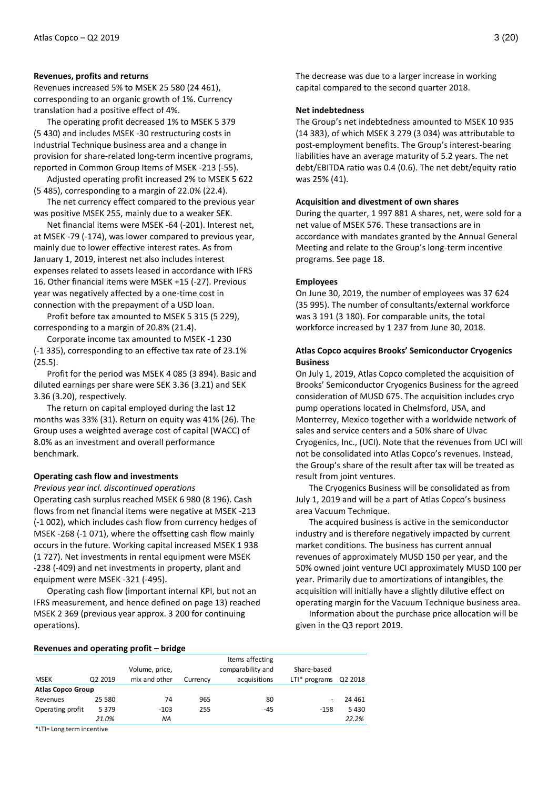## **Revenues, profits and returns**

Revenues increased 5% to MSEK 25 580 (24 461), corresponding to an organic growth of 1%. Currency translation had a positive effect of 4%.

The operating profit decreased 1% to MSEK 5 379 (5 430) and includes MSEK -30 restructuring costs in Industrial Technique business area and a change in provision for share-related long-term incentive programs, reported in Common Group Items of MSEK -213 (-55).

Adjusted operating profit increased 2% to MSEK 5 622 (5 485), corresponding to a margin of 22.0% (22.4).

The net currency effect compared to the previous year was positive MSEK 255, mainly due to a weaker SEK.

Net financial items were MSEK -64 (-201). Interest net, at MSEK -79 (-174), was lower compared to previous year, mainly due to lower effective interest rates. As from January 1, 2019, interest net also includes interest expenses related to assets leased in accordance with IFRS 16. Other financial items were MSEK +15 (-27). Previous year was negatively affected by a one-time cost in connection with the prepayment of a USD loan.

Profit before tax amounted to MSEK 5 315 (5 229), corresponding to a margin of 20.8% (21.4).

Corporate income tax amounted to MSEK -1 230 (-1 335), corresponding to an effective tax rate of 23.1% (25.5).

Profit for the period was MSEK 4 085 (3 894). Basic and diluted earnings per share were SEK 3.36 (3.21) and SEK 3.36 (3.20), respectively.

The return on capital employed during the last 12 months was 33% (31). Return on equity was 41% (26). The Group uses a weighted average cost of capital (WACC) of 8.0% as an investment and overall performance benchmark.

## **Operating cash flow and investments**

*Previous year incl. discontinued operations*

Operating cash surplus reached MSEK 6 980 (8 196). Cash flows from net financial items were negative at MSEK -213 (-1 002), which includes cash flow from currency hedges of MSEK -268 (-1 071), where the offsetting cash flow mainly occurs in the future. Working capital increased MSEK 1 938 (1 727). Net investments in rental equipment were MSEK -238 (-409) and net investments in property, plant and equipment were MSEK -321 (-495).

Operating cash flow (important internal KPI, but not an IFRS measurement, and hence defined on page 13) reached MSEK 2 369 (previous year approx. 3 200 for continuing operations).

The decrease was due to a larger increase in working capital compared to the second quarter 2018.

## **Net indebtedness**

The Group's net indebtedness amounted to MSEK 10 935 (14 383), of which MSEK 3 279 (3 034) was attributable to post-employment benefits. The Group's interest-bearing liabilities have an average maturity of 5.2 years. The net debt/EBITDA ratio was 0.4 (0.6). The net debt/equity ratio was 25% (41).

## **Acquisition and divestment of own shares**

During the quarter, 1 997 881 A shares, net, were sold for a net value of MSEK 576. These transactions are in accordance with mandates granted by the Annual General Meeting and relate to the Group's long-term incentive programs. See page 18.

## **Employees**

On June 30, 2019, the number of employees was 37 624 (35 995). The number of consultants/external workforce was 3 191 (3 180). For comparable units, the total workforce increased by 1 237 from June 30, 2018.

## **Atlas Copco acquires Brooks' Semiconductor Cryogenics Business**

On July 1, 2019, Atlas Copco completed the acquisition of Brooks' Semiconductor Cryogenics Business for the agreed consideration of MUSD 675. The acquisition includes cryo pump operations located in Chelmsford, USA, and Monterrey, Mexico together with a worldwide network of sales and service centers and a 50% share of Ulvac Cryogenics, Inc., (UCI). Note that the revenues from UCI will not be consolidated into Atlas Copco's revenues. Instead, the Group's share of the result after tax will be treated as result from joint ventures.

The Cryogenics Business will be consolidated as from July 1, 2019 and will be a part of Atlas Copco's business area Vacuum Technique.

The acquired business is active in the semiconductor industry and is therefore negatively impacted by current market conditions. The business has current annual revenues of approximately MUSD 150 per year, and the 50% owned joint venture UCI approximately MUSD 100 per year. Primarily due to amortizations of intangibles, the acquisition will initially have a slightly dilutive effect on operating margin for the Vacuum Technique business area.

Information about the purchase price allocation will be given in the Q3 report 2019.

#### **Revenues and operating profit – bridge**

|                                                                                                                                                                                                                                 |                     | --             |          |                   |                 |         |
|---------------------------------------------------------------------------------------------------------------------------------------------------------------------------------------------------------------------------------|---------------------|----------------|----------|-------------------|-----------------|---------|
|                                                                                                                                                                                                                                 |                     |                |          | Items affecting   |                 |         |
|                                                                                                                                                                                                                                 |                     | Volume, price, |          | comparability and | Share-based     |         |
| <b>MSEK</b>                                                                                                                                                                                                                     | Q <sub>2</sub> 2019 | mix and other  | Currency | acquisitions      | $LTI* programs$ | Q2 2018 |
| <b>Atlas Copco Group</b>                                                                                                                                                                                                        |                     |                |          |                   |                 |         |
| Revenues                                                                                                                                                                                                                        | 25 5 80             | 74             | 965      | 80                | ۰               | 24 4 61 |
| Operating profit                                                                                                                                                                                                                | 5 3 7 9             | $-103$         | 255      | $-45$             | $-158$          | 5430    |
|                                                                                                                                                                                                                                 | 21.0%               | NA             |          |                   |                 | 22.2%   |
| $\sim$ . The contract of the contract of the contract of the contract of the contract of the contract of the contract of the contract of the contract of the contract of the contract of the contract of the contract of the co |                     |                |          |                   |                 |         |

\*LTI= Long term incentive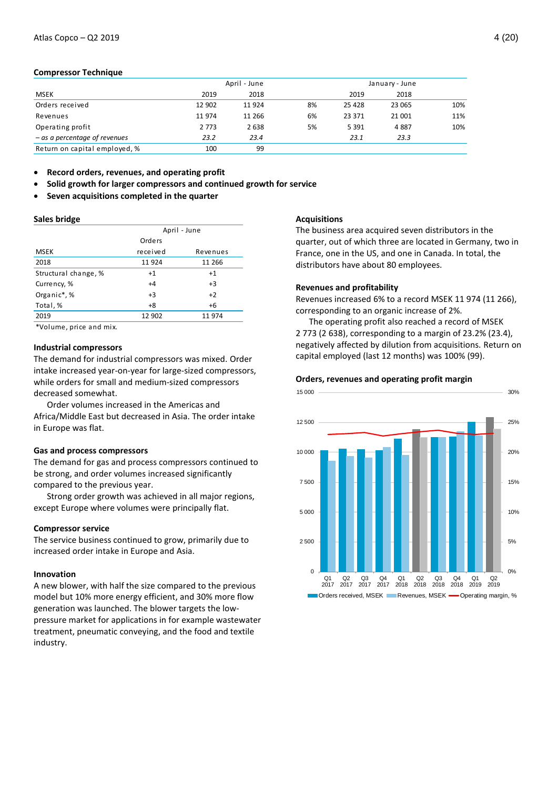## **Compressor Technique**

|                               |         | April - June |    | January - June |        |     |
|-------------------------------|---------|--------------|----|----------------|--------|-----|
| <b>MSEK</b>                   | 2019    | 2018         |    | 2019           | 2018   |     |
| Orders received               | 12 902  | 11924        | 8% | 25 4 28        | 23 065 | 10% |
| Revenues                      | 11 974  | 11 266       | 6% | 23 371         | 21 001 | 11% |
| Operating profit              | 2 7 7 3 | 2638         | 5% | 5 3 9 1        | 4887   | 10% |
| - as a percentage of revenues | 23.2    | 23.4         |    | 23.1           | 23.3   |     |
| Return on capital employed, % | 100     | 99           |    |                |        |     |

**Record orders, revenues, and operating profit**

- **Solid growth for larger compressors and continued growth for service**
- **Seven acquisitions completed in the quarter**

#### **Sales bridge**

|                                              | April - June |          |  |  |  |  |
|----------------------------------------------|--------------|----------|--|--|--|--|
|                                              | Orders       |          |  |  |  |  |
| <b>MSEK</b>                                  | received     | Revenues |  |  |  |  |
| 2018                                         | 11924        | 11 266   |  |  |  |  |
| Structural change, %                         | $+1$         | $+1$     |  |  |  |  |
| Currency, %                                  | $+4$         | $+3$     |  |  |  |  |
| Organic*,%                                   | $+3$         | $+2$     |  |  |  |  |
| Total, %                                     | $+8$         | $+6$     |  |  |  |  |
| 2019                                         | 12 902       | 11974    |  |  |  |  |
| المتقصر المستور المستحدث والمستحدث والمكافأة |              |          |  |  |  |  |

\*Volume, price and mix.

## **Industrial compressors**

The demand for industrial compressors was mixed. Order intake increased year-on-year for large-sized compressors, while orders for small and medium-sized compressors decreased somewhat.

Order volumes increased in the Americas and Africa/Middle East but decreased in Asia. The order intake in Europe was flat.

## **Gas and process compressors**

The demand for gas and process compressors continued to be strong, and order volumes increased significantly compared to the previous year.

Strong order growth was achieved in all major regions, except Europe where volumes were principally flat.

### **Compressor service**

The service business continued to grow, primarily due to increased order intake in Europe and Asia.

## **Innovation**

A new blower, with half the size compared to the previous model but 10% more energy efficient, and 30% more flow generation was launched. The blower targets the lowpressure market for applications in for example wastewater treatment, pneumatic conveying, and the food and textile industry.

#### **Acquisitions**

The business area acquired seven distributors in the quarter, out of which three are located in Germany, two in France, one in the US, and one in Canada. In total, the distributors have about 80 employees.

## **Revenues and profitability**

Revenues increased 6% to a record MSEK 11 974 (11 266), corresponding to an organic increase of 2%.

The operating profit also reached a record of MSEK 2 773 (2 638), corresponding to a margin of 23.2% (23.4), negatively affected by dilution from acquisitions. Return on capital employed (last 12 months) was 100% (99).

#### **Orders, revenues and operating profit margin**

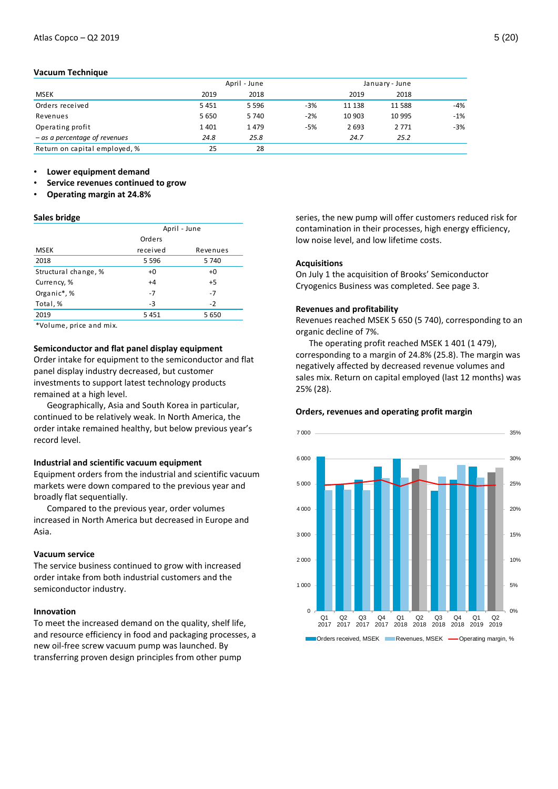## **Vacuum Technique**

|                                 |         | April - June |       |        | January - June |       |
|---------------------------------|---------|--------------|-------|--------|----------------|-------|
| <b>MSEK</b>                     | 2019    | 2018         |       | 2019   | 2018           |       |
| Orders received                 | 5451    | 5 5 9 6      | $-3%$ | 11 138 | 11 588         | $-4%$ |
| Revenues                        | 5 6 5 0 | 5 7 4 0      | $-2%$ | 10 903 | 10 995         | $-1%$ |
| Operating profit                | 1401    | 1479         | $-5%$ | 2693   | 2 7 7 1        | $-3%$ |
| $-$ as a percentage of revenues | 24.8    | 25.8         |       | 24.7   | 25.2           |       |
| Return on capital employed, %   | 25      | 28           |       |        |                |       |

• **Lower equipment demand**

- **Service revenues continued to grow**
- **Operating margin at 24.8%**

#### **Sales bridge**

|                      |          | April - June |
|----------------------|----------|--------------|
|                      | Orders   |              |
| <b>MSEK</b>          | received | Revenues     |
| 2018                 | 5 5 9 6  | 5 740        |
| Structural change, % | $+0$     | $+0$         |
| Currency, %          | $+4$     | $+5$         |
| Organic*,%           | $-7$     | $-7$         |
| Total, %             | -3       | $-2$         |
| 2019                 | 5451     | 5 6 5 0      |
|                      |          |              |

\*Volume, price and mix.

## **Semiconductor and flat panel display equipment**

Order intake for equipment to the semiconductor and flat panel display industry decreased, but customer investments to support latest technology products remained at a high level.

Geographically, Asia and South Korea in particular, continued to be relatively weak. In North America, the order intake remained healthy, but below previous year's record level.

#### **Industrial and scientific vacuum equipment**

Equipment orders from the industrial and scientific vacuum markets were down compared to the previous year and broadly flat sequentially.

Compared to the previous year, order volumes increased in North America but decreased in Europe and Asia.

#### **Vacuum service**

The service business continued to grow with increased order intake from both industrial customers and the semiconductor industry.

#### **Innovation**

To meet the increased demand on the quality, shelf life, and resource efficiency in food and packaging processes, a new oil-free screw vacuum pump was launched. By transferring proven design principles from other pump

series, the new pump will offer customers reduced risk for contamination in their processes, high energy efficiency, low noise level, and low lifetime costs.

## **Acquisitions**

On July 1 the acquisition of Brooks' Semiconductor Cryogenics Business was completed. See page 3.

#### **Revenues and profitability**

Revenues reached MSEK 5 650 (5 740), corresponding to an organic decline of 7%.

The operating profit reached MSEK 1 401 (1 479), corresponding to a margin of 24.8% (25.8). The margin was negatively affected by decreased revenue volumes and sales mix. Return on capital employed (last 12 months) was 25% (28).

#### **Orders, revenues and operating profit margin**

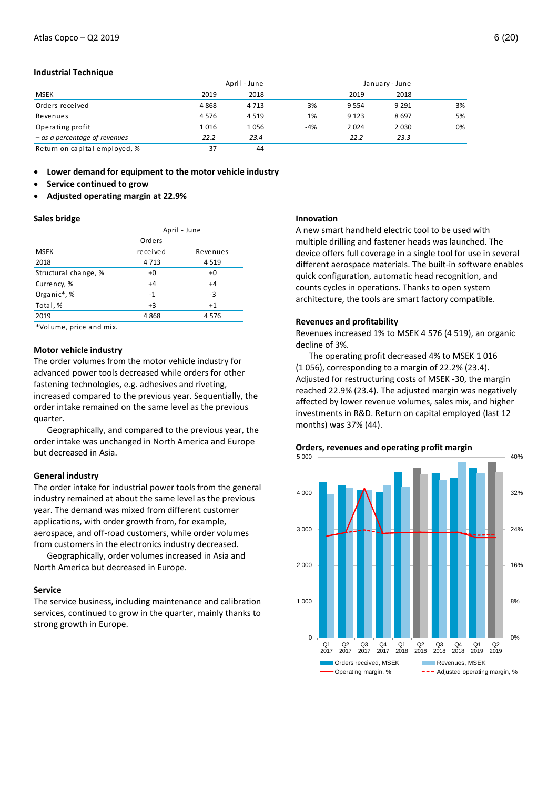## **Industrial Technique**

|                                 |      | April - June |     |         | January - June |    |
|---------------------------------|------|--------------|-----|---------|----------------|----|
| <b>MSEK</b>                     | 2019 | 2018         |     | 2019    | 2018           |    |
| Orders received                 | 4868 | 4 7 1 3      | 3%  | 9554    | 9 2 9 1        | 3% |
| Revenues                        | 4576 | 4 5 1 9      | 1%  | 9 1 2 3 | 8697           | 5% |
| Operating profit                | 1016 | 1056         | -4% | 2024    | 2 0 3 0        | 0% |
| $-$ as a percentage of revenues | 22.2 | 23.4         |     | 22.2    | 23.3           |    |
| Return on capital employed, %   | 37   | 44           |     |         |                |    |

**Lower demand for equipment to the motor vehicle industry**

- **Service continued to grow**
- **Adjusted operating margin at 22.9%**

#### **Sales bridge**

|                                                                                                                                                                                                                                  | April - June |          |  |  |  |  |
|----------------------------------------------------------------------------------------------------------------------------------------------------------------------------------------------------------------------------------|--------------|----------|--|--|--|--|
|                                                                                                                                                                                                                                  | Orders       |          |  |  |  |  |
| <b>MSEK</b>                                                                                                                                                                                                                      | received     | Revenues |  |  |  |  |
| 2018                                                                                                                                                                                                                             | 4713         | 4 5 1 9  |  |  |  |  |
| Structural change, %                                                                                                                                                                                                             | $+0$         | $+0$     |  |  |  |  |
| Currency, %                                                                                                                                                                                                                      | $+4$         | $+4$     |  |  |  |  |
| Organic*,%                                                                                                                                                                                                                       | $-1$         | $-3$     |  |  |  |  |
| Total, %                                                                                                                                                                                                                         | $+3$         | $+1$     |  |  |  |  |
| 2019                                                                                                                                                                                                                             | 4868         | 4576     |  |  |  |  |
| $\frac{1}{2}$ , and the contract of the contract of the contract of the contract of the contract of the contract of the contract of the contract of the contract of the contract of the contract of the contract of the contract |              |          |  |  |  |  |

\*Volume, price and mix.

#### **Motor vehicle industry**

The order volumes from the motor vehicle industry for advanced power tools decreased while orders for other fastening technologies, e.g. adhesives and riveting, increased compared to the previous year. Sequentially, the order intake remained on the same level as the previous quarter.

Geographically, and compared to the previous year, the order intake was unchanged in North America and Europe but decreased in Asia.

## **General industry**

The order intake for industrial power tools from the general industry remained at about the same level as the previous year. The demand was mixed from different customer applications, with order growth from, for example, aerospace, and off-road customers, while order volumes from customers in the electronics industry decreased.

Geographically, order volumes increased in Asia and North America but decreased in Europe.

#### **Service**

The service business, including maintenance and calibration services, continued to grow in the quarter, mainly thanks to strong growth in Europe.

#### **Innovation**

A new smart handheld electric tool to be used with multiple drilling and fastener heads was launched. The device offers full coverage in a single tool for use in several different aerospace materials. The built-in software enables quick configuration, automatic head recognition, and counts cycles in operations. Thanks to open system architecture, the tools are smart factory compatible.

## **Revenues and profitability**

Revenues increased 1% to MSEK 4 576 (4 519), an organic decline of 3%.

The operating profit decreased 4% to MSEK 1 016 (1 056), corresponding to a margin of 22.2% (23.4). Adjusted for restructuring costs of MSEK -30, the margin reached 22.9% (23.4). The adjusted margin was negatively affected by lower revenue volumes, sales mix, and higher investments in R&D. Return on capital employed (last 12 months) was 37% (44).

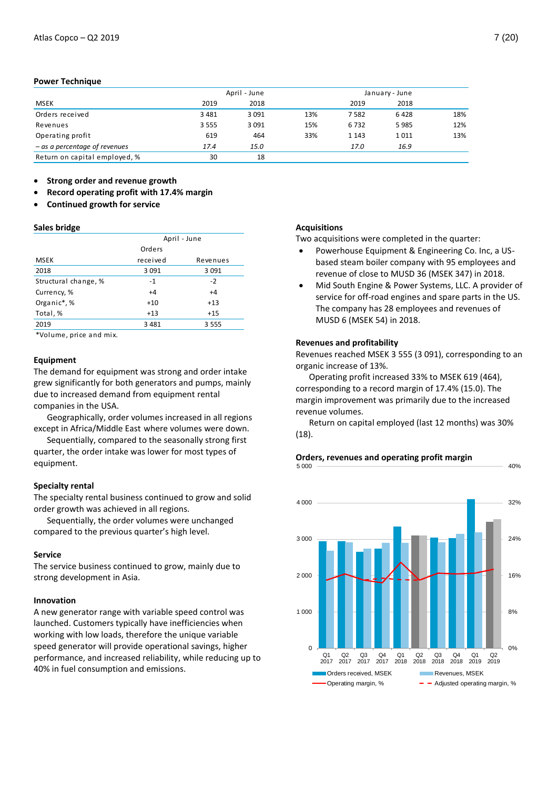## **Power Technique**

|                                 | April - June |         | January - June |         |      |     |
|---------------------------------|--------------|---------|----------------|---------|------|-----|
| MSEK                            | 2019         | 2018    |                | 2019    | 2018 |     |
| Orders received                 | 3 4 8 1      | 3 0 9 1 | 13%            | 7582    | 6428 | 18% |
| Revenues                        | 3 5 5 5      | 3 0 9 1 | 15%            | 6732    | 5985 | 12% |
| Operating profit                | 619          | 464     | 33%            | 1 1 4 3 | 1011 | 13% |
| $-$ as a percentage of revenues | 17.4         | 15.0    |                | 17.0    | 16.9 |     |
| Return on capital employed, %   | 30           | 18      |                |         |      |     |

**Strong order and revenue growth**

- **Record operating profit with 17.4% margin**
- **Continued growth for service**

## **Sales bridge**

|                      | April - June |          |  |  |  |
|----------------------|--------------|----------|--|--|--|
|                      | Orders       |          |  |  |  |
| <b>MSEK</b>          | received     | Revenues |  |  |  |
| 2018                 | 3 0 9 1      | 3 0 9 1  |  |  |  |
| Structural change, % | $-1$         | $-2$     |  |  |  |
| Currency, %          | $+4$         | $+4$     |  |  |  |
| Organic*,%           | $+10$        | $+13$    |  |  |  |
| Total, %             | $+13$        | $+15$    |  |  |  |
| 2019                 | 3 4 8 1      | 3555     |  |  |  |

\*Volume, price and mix.

## **Equipment**

The demand for equipment was strong and order intake grew significantly for both generators and pumps, mainly due to increased demand from equipment rental companies in the USA.

Geographically, order volumes increased in all regions except in Africa/Middle East where volumes were down.

Sequentially, compared to the seasonally strong first quarter, the order intake was lower for most types of equipment.

## **Specialty rental**

The specialty rental business continued to grow and solid order growth was achieved in all regions.

Sequentially, the order volumes were unchanged compared to the previous quarter's high level.

#### **Service**

The service business continued to grow, mainly due to strong development in Asia.

## **Innovation**

A new generator range with variable speed control was launched. Customers typically have inefficiencies when working with low loads, therefore the unique variable speed generator will provide operational savings, higher performance, and increased reliability, while reducing up to 40% in fuel consumption and emissions.

#### **Acquisitions**

Two acquisitions were completed in the quarter:

- Powerhouse Equipment & Engineering Co. Inc, a USbased steam boiler company with 95 employees and revenue of close to MUSD 36 (MSEK 347) in 2018.
- Mid South Engine & Power Systems, LLC. A provider of service for off-road engines and spare parts in the US. The company has 28 employees and revenues of MUSD 6 (MSEK 54) in 2018.

## **Revenues and profitability**

Revenues reached MSEK 3 555 (3 091), corresponding to an organic increase of 13%.

Operating profit increased 33% to MSEK 619 (464), corresponding to a record margin of 17.4% (15.0). The margin improvement was primarily due to the increased revenue volumes.

Return on capital employed (last 12 months) was 30% (18).



#### **Orders, revenues and operating profit margin** 5 000

40%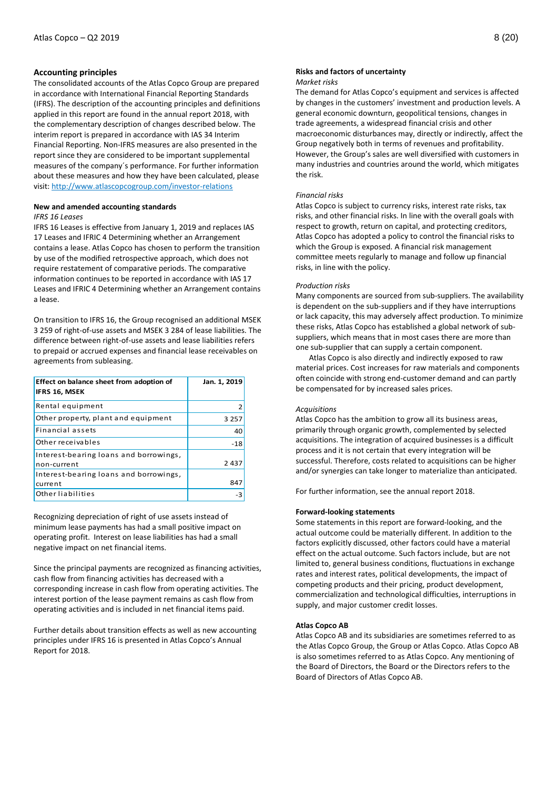## **Accounting principles**

The consolidated accounts of the Atlas Copco Group are prepared in accordance with International Financial Reporting Standards (IFRS). The description of the accounting principles and definitions applied in this report are found in the annual report 2018, with the complementary description of changes described below. The interim report is prepared in accordance with IAS 34 Interim Financial Reporting. Non-IFRS measures are also presented in the report since they are considered to be important supplemental measures of the company´s performance. For further information about these measures and how they have been calculated, please visit[: http://www.atlascopcogroup.com/investor-relations](http://www.atlascopcogroup.com/investor-relations)

#### **New and amended accounting standards**

#### *IFRS 16 Leases*

IFRS 16 Leases is effective from January 1, 2019 and replaces IAS 17 Leases and IFRIC 4 Determining whether an Arrangement contains a lease. Atlas Copco has chosen to perform the transition by use of the modified retrospective approach, which does not require restatement of comparative periods. The comparative information continues to be reported in accordance with IAS 17 Leases and IFRIC 4 Determining whether an Arrangement contains a lease.

On transition to IFRS 16, the Group recognised an additional MSEK 3 259 of right-of-use assets and MSEK 3 284 of lease liabilities. The difference between right-of-use assets and lease liabilities refers to prepaid or accrued expenses and financial lease receivables on agreements from subleasing.

| Effect on balance sheet from adoption of<br><b>IFRS 16, MSEK</b> | Jan. 1, 2019 |
|------------------------------------------------------------------|--------------|
| Rental equipment                                                 |              |
| Other property, plant and equipment                              | 3 2 5 7      |
| Financial assets                                                 | 40           |
| Other receivables                                                | $-18$        |
| Interest-bearing loans and borrowings,<br>non-current            | 2 4 3 7      |
| Interest-bearing loans and borrowings,<br>current                | 847          |
| Other liabilities                                                |              |

Recognizing depreciation of right of use assets instead of minimum lease payments has had a small positive impact on operating profit. Interest on lease liabilities has had a small negative impact on net financial items.

Since the principal payments are recognized as financing activities, cash flow from financing activities has decreased with a corresponding increase in cash flow from operating activities. The interest portion of the lease payment remains as cash flow from operating activities and is included in net financial items paid.

Further details about transition effects as well as new accounting principles under IFRS 16 is presented in Atlas Copco's Annual Report for 2018.

## **Risks and factors of uncertainty**

#### *Market risks*

The demand for Atlas Copco's equipment and services is affected by changes in the customers' investment and production levels. A general economic downturn, geopolitical tensions, changes in trade agreements, a widespread financial crisis and other macroeconomic disturbances may, directly or indirectly, affect the Group negatively both in terms of revenues and profitability. However, the Group's sales are well diversified with customers in many industries and countries around the world, which mitigates the risk.

### *Financial risks*

Atlas Copco is subject to currency risks, interest rate risks, tax risks, and other financial risks. In line with the overall goals with respect to growth, return on capital, and protecting creditors, Atlas Copco has adopted a policy to control the financial risks to which the Group is exposed. A financial risk management committee meets regularly to manage and follow up financial risks, in line with the policy.

#### *Production risks*

Many components are sourced from sub-suppliers. The availability is dependent on the sub-suppliers and if they have interruptions or lack capacity, this may adversely affect production. To minimize these risks, Atlas Copco has established a global network of subsuppliers, which means that in most cases there are more than one sub-supplier that can supply a certain component.

Atlas Copco is also directly and indirectly exposed to raw material prices. Cost increases for raw materials and components often coincide with strong end-customer demand and can partly be compensated for by increased sales prices.

#### *Acquisitions*

Atlas Copco has the ambition to grow all its business areas, primarily through organic growth, complemented by selected acquisitions. The integration of acquired businesses is a difficult process and it is not certain that every integration will be successful. Therefore, costs related to acquisitions can be higher and/or synergies can take longer to materialize than anticipated.

For further information, see the annual report 2018.

## **Forward-looking statements**

Some statements in this report are forward-looking, and the actual outcome could be materially different. In addition to the factors explicitly discussed, other factors could have a material effect on the actual outcome. Such factors include, but are not limited to, general business conditions, fluctuations in exchange rates and interest rates, political developments, the impact of competing products and their pricing, product development, commercialization and technological difficulties, interruptions in supply, and major customer credit losses.

#### **Atlas Copco AB**

Atlas Copco AB and its subsidiaries are sometimes referred to as the Atlas Copco Group, the Group or Atlas Copco. Atlas Copco AB is also sometimes referred to as Atlas Copco. Any mentioning of the Board of Directors, the Board or the Directors refers to the Board of Directors of Atlas Copco AB.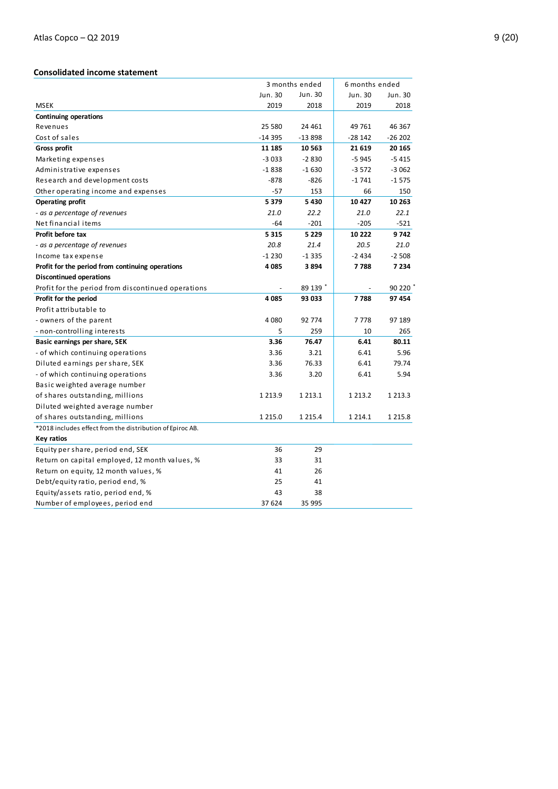## **Consolidated income statement**

|                                                           |             | 3 months ended |             | 6 months ended |
|-----------------------------------------------------------|-------------|----------------|-------------|----------------|
|                                                           | Jun. 30     | Jun. 30        | Jun. 30     | Jun. 30        |
| <b>MSEK</b>                                               | 2019        | 2018           | 2019        | 2018           |
| <b>Continuing operations</b>                              |             |                |             |                |
| Revenues                                                  | 25 580      | 24 461         | 49 761      | 46 367         |
| Cost of sales                                             | -14 395     | -13 898        | $-28142$    | $-26202$       |
| Gross profit                                              | 11 185      | 10 563         | 21 619      | 20 165         |
| Marketing expenses                                        | $-3033$     | $-2830$        | $-5945$     | $-5415$        |
| Administrative expenses                                   | $-1838$     | $-1630$        | $-3572$     | $-3062$        |
| Research and development costs                            | $-878$      | $-826$         | $-1741$     | $-1575$        |
| Other operating income and expenses                       | $-57$       | 153            | 66          | 150            |
| <b>Operating profit</b>                                   | 5 3 7 9     | 5430           | 10 4 27     | 10 263         |
| - as a percentage of revenues                             | 21.0        | 22.2           | 21.0        | 22.1           |
| Net financial items                                       | -64         | $-201$         | $-205$      | $-521$         |
| Profit before tax                                         | 5 3 1 5     | 5 2 2 9        | 10 222      | 9742           |
| - as a percentage of revenues                             | 20.8        | 21.4           | 20.5        | 21.0           |
| Income tax expense                                        | $-1230$     | $-1335$        | $-2434$     | $-2508$        |
| Profit for the period from continuing operations          | 4 0 8 5     | 3894           | 7788        | 7 2 3 4        |
| <b>Discontinued operations</b>                            |             |                |             |                |
| Profit for the period from discontinued operations        |             | 89 139 *       |             | 90220          |
| Profit for the period                                     | 4085        | 93 033         | 7788        | 97 454         |
| Profit attributable to                                    |             |                |             |                |
| - owners of the parent                                    | 4 0 8 0     | 92 774         | 7778        | 97 189         |
| - non-controlling interests                               | 5           | 259            | 10          | 265            |
| Basic earnings per share, SEK                             | 3.36        | 76.47          | 6.41        | 80.11          |
| - of which continuing operations                          | 3.36        | 3.21           | 6.41        | 5.96           |
| Diluted earnings per share, SEK                           | 3.36        | 76.33          | 6.41        | 79.74          |
| - of which continuing operations                          | 3.36        | 3.20           | 6.41        | 5.94           |
| Basic weighted average number                             |             |                |             |                |
| of shares outstanding, millions                           | 1 2 1 3 . 9 | 1 2 1 3 . 1    | 1 2 1 3 . 2 | 1 2 1 3 . 3    |
| Diluted weighted average number                           |             |                |             |                |
| of shares outstanding, millions                           | 1 2 1 5 .0  | 1 2 1 5 . 4    | 1 2 1 4 . 1 | 1 2 1 5 . 8    |
| *2018 includes effect from the distribution of Epiroc AB. |             |                |             |                |
| Key ratios                                                |             |                |             |                |
| Equity per share, period end, SEK                         | 36          | 29             |             |                |
| Return on capital employed, 12 month values, %            | 33          | 31             |             |                |
| Return on equity, 12 month values, %                      | 41          | 26             |             |                |
| Debt/equity ratio, period end, %                          | 25          | 41             |             |                |
| Equity/assets ratio, period end, %                        | 43          | 38             |             |                |
| Number of employees, period end                           | 37 624      | 35 995         |             |                |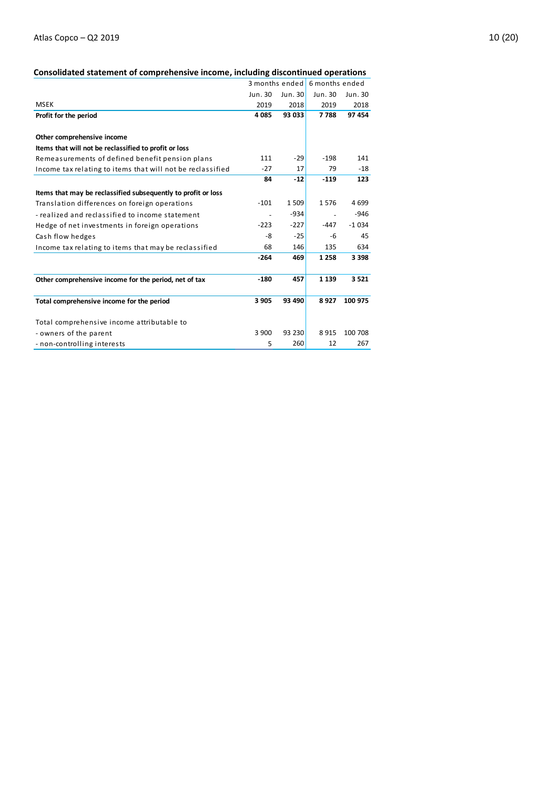## **Consolidated statement of comprehensive income, including discontinued operations**

|                                                               | 3 months ended |           | 6 months ended |         |
|---------------------------------------------------------------|----------------|-----------|----------------|---------|
|                                                               | Jun. 30        | Jun. $30$ | Jun. 30        | Jun. 30 |
| <b>MSEK</b>                                                   | 2019           | 2018      | 2019           | 2018    |
| Profit for the period                                         | 4 0 8 5        | 93 033    | 7788           | 97 454  |
|                                                               |                |           |                |         |
| Other comprehensive income                                    |                |           |                |         |
| Items that will not be reclassified to profit or loss         |                |           |                |         |
| Remeasurements of defined benefit pension plans               | 111            | $-29$     | $-198$         | 141     |
| Income tax relating to items that will not be reclassified    | $-27$          | 17        | 79             | $-18$   |
|                                                               | 84             | $-12$     | $-119$         | 123     |
| Items that may be reclassified subsequently to profit or loss |                |           |                |         |
| Translation differences on foreign operations                 | $-101$         | 1 509     | 1576           | 4699    |
| - realized and reclassified to income statement               |                | $-934$    |                | $-946$  |
| Hedge of net investments in foreign operations                | $-223$         | $-227$    | $-447$         | $-1034$ |
| Cash flow hedges                                              | -8             | $-25$     | $-6$           | 45      |
| Income tax relating to items that may be reclassified         | 68             | 146       | 135            | 634     |
|                                                               | $-264$         | 469       | 1 2 5 8        | 3 3 9 8 |
|                                                               |                |           |                |         |
| Other comprehensive income for the period, net of tax         | $-180$         | 457       | 1 1 3 9        | 3521    |
| Total comprehensive income for the period                     | 3 9 0 5        | 93 490    | 8927           | 100 975 |
| Total comprehensive income attributable to                    |                |           |                |         |
| - owners of the parent                                        | 3 900          | 93 230    | 8915           | 100 708 |
| - non-controlling interests                                   | 5              | 260       | 12             | 267     |
|                                                               |                |           |                |         |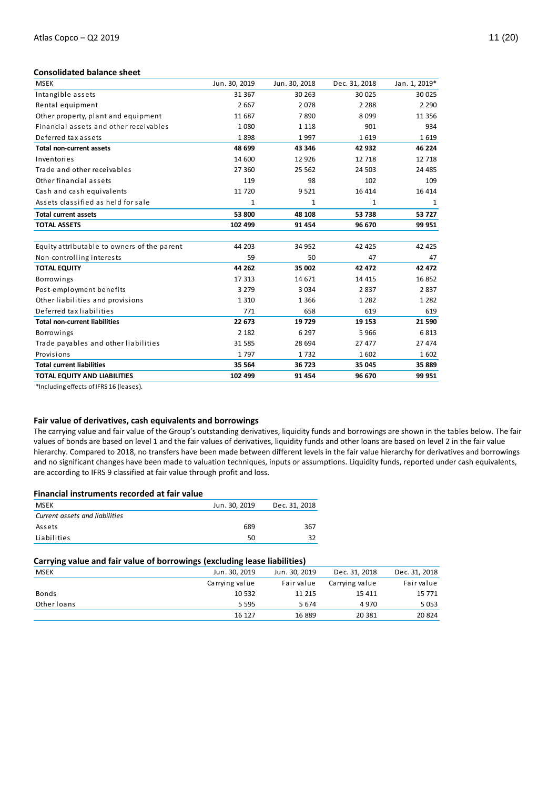## **Consolidated balance sheet**

| <b>MSEK</b>                                 | Jun. 30, 2019 | Jun. 30, 2018 | Dec. 31, 2018 | Jan. 1, 2019* |
|---------------------------------------------|---------------|---------------|---------------|---------------|
| Intangible assets                           | 31 367        | 30 263        | 30 025        | 30 025        |
| Rental equipment                            | 2 6 6 7       | 2078          | 2 2 8 8       | 2 2 9 0       |
| Other property, plant and equipment         | 11 687        | 7890          | 8099          | 11 356        |
| Financial assets and other receivables      | 1 0 8 0       | 1 1 1 8       | 901           | 934           |
| Deferred tax assets                         | 1898          | 1997          | 1619          | 1619          |
| <b>Total non-current assets</b>             | 48 699        | 43 346        | 42 932        | 46 224        |
| Inventories                                 | 14 600        | 12 9 26       | 12 7 18       | 12 718        |
| Trade and other receivables                 | 27 360        | 25 5 62       | 24 503        | 24 4 85       |
| Other financial assets                      | 119           | 98            | 102           | 109           |
| Cash and cash equivalents                   | 11 720        | 9 5 2 1       | 16 4 14       | 16 4 14       |
| Assets classified as held for sale          | 1             | $\mathbf{1}$  | 1             | 1             |
| <b>Total current assets</b>                 | 53 800        | 48 108        | 53 738        | 53727         |
| <b>TOTAL ASSETS</b>                         | 102 499       | 91 454        | 96 670        | 99 951        |
|                                             |               |               |               |               |
| Equity attributable to owners of the parent | 44 203        | 34 952        | 42 4 25       | 42 4 25       |
| Non-controlling interests                   | 59            | 50            | 47            | 47            |
| <b>TOTAL EQUITY</b>                         | 44 262        | 35 002        | 42 472        | 42 472        |
| Borrowings                                  | 17 313        | 14 671        | 14 4 15       | 16852         |
| Post-employment benefits                    | 3 2 7 9       | 3 0 3 4       | 2837          | 2837          |
| Other liabilities and provisions            | 1 3 1 0       | 1 3 6 6       | 1 2 8 2       | 1 2 8 2       |
| Deferred tax liabilities                    | 771           | 658           | 619           | 619           |
| <b>Total non-current liabilities</b>        | 22 673        | 19 729        | 19 153        | 21 590        |
| <b>Borrowings</b>                           | 2 1 8 2       | 6 2 9 7       | 5966          | 6813          |
| Trade payables and other liabilities        | 31 585        | 28 694        | 27 477        | 27 474        |
| Provisions                                  | 1797          | 1732          | 1602          | 1602          |
| <b>Total current liabilities</b>            | 35 564        | 36 723        | 35 045        | 35 889        |
| <b>TOTAL EQUITY AND LIABILITIES</b>         | 102 499       | 91 454        | 96 670        | 99 951        |

\*Including effects of IFRS 16 (leases).

## **Fair value of derivatives, cash equivalents and borrowings**

The carrying value and fair value of the Group's outstanding derivatives, liquidity funds and borrowings are shown in the tables below. The fair values of bonds are based on level 1 and the fair values of derivatives, liquidity funds and other loans are based on level 2 in the fair value hierarchy. Compared to 2018, no transfers have been made between different levels in the fair value hierarchy for derivatives and borrowings and no significant changes have been made to valuation techniques, inputs or assumptions. Liquidity funds, reported under cash equivalents, are according to IFRS 9 classified at fair value through profit and loss.

| Financial instruments recorded at fair value |  |
|----------------------------------------------|--|
|----------------------------------------------|--|

| MSEK                           | Jun. 30, 2019 | Dec. 31, 2018 |
|--------------------------------|---------------|---------------|
| Current assets and liabilities |               |               |
| Assets                         | 689           | 367           |
| Liabilities                    | 50            | 32            |

## **Carrying value and fair value of borrowings (excluding lease liabilities)**

| <b>MSEK</b>  | Jun. 30, 2019  | Jun. 30, 2019 | Dec. 31, 2018  | Dec. 31, 2018 |
|--------------|----------------|---------------|----------------|---------------|
|              | Carrying value | Fair value    | Carrying value | Fair value    |
| <b>Bonds</b> | 10 532         | 11 215        | 15 4 11        | 15 771        |
| Other loans  | 5 5 9 5        | 5674          | 4970           | 5053          |
|              | 16 127         | 16 889        | 20 381         | 20 8 24       |
|              |                |               |                |               |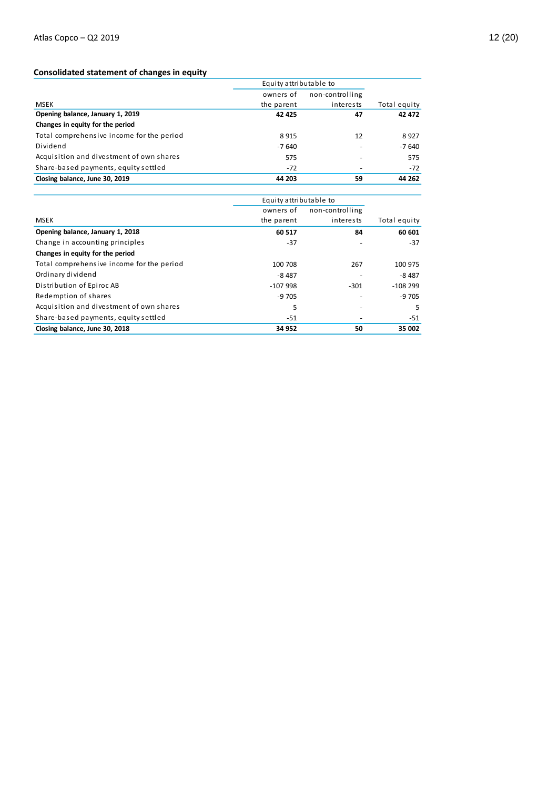## **Consolidated statement of changes in equity**

|                                           | Equity attributable to |                 |              |
|-------------------------------------------|------------------------|-----------------|--------------|
|                                           | owners of              | non-controlling |              |
| MSEK                                      | the parent             | interests       | Total equity |
| Opening balance, January 1, 2019          | 42 4 25                | 47              | 42 472       |
| Changes in equity for the period          |                        |                 |              |
| Total comprehensive income for the period | 8915                   | 12              | 8927         |
| Dividend                                  | $-7640$                |                 | $-7640$      |
| Acquisition and divestment of own shares  | 575                    |                 | 575          |
| Share-based payments, equity settled      | $-72$                  |                 | $-72$        |
| Closing balance, June 30, 2019            | 44 203                 | 59              | 44 262       |

| Closing balance, June 30, 2019            | 44 203                 | 59              |              |
|-------------------------------------------|------------------------|-----------------|--------------|
|                                           |                        |                 |              |
|                                           | Equity attributable to |                 |              |
|                                           | owners of              | non-controlling |              |
| MSEK                                      | the parent             | interests       | Total equity |
| Opening balance, January 1, 2018          | 60 517                 | 84              | 60 601       |
| Change in accounting principles           | $-37$                  |                 | $-37$        |
| Changes in equity for the period          |                        |                 |              |
| Total comprehensive income for the period | 100 708                | 267             | 100 975      |
| Ordinary dividend                         | $-8487$                |                 | $-8487$      |
| Distribution of Epiroc AB                 | -107 998               | $-301$          | $-108299$    |
| Redemption of shares                      | $-9705$                |                 | $-9705$      |
| Acquisition and divestment of own shares  | 5                      |                 | 5            |
| Share-based payments, equity settled      | $-51$                  |                 | -51          |
| Closing balance, June 30, 2018            | 34 952                 | 50              | 35 002       |
|                                           |                        |                 |              |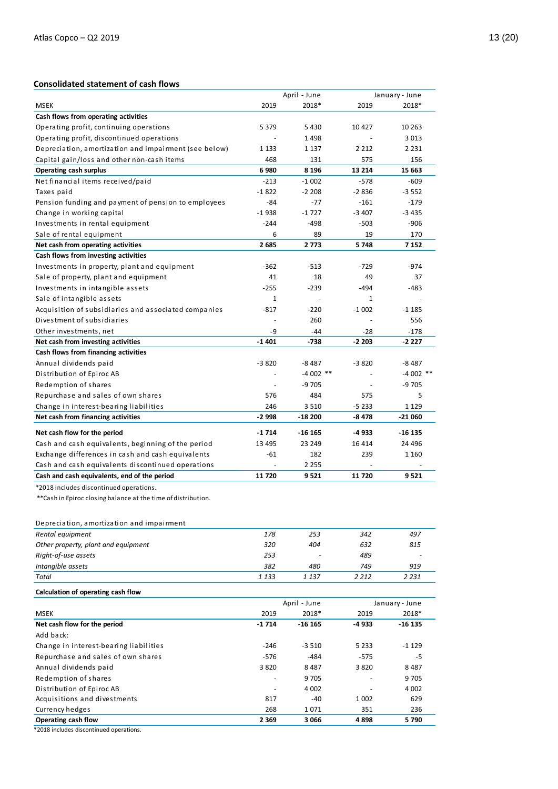## **Consolidated statement of cash flows**

|                                                                |                          | April - June |         | January - June |
|----------------------------------------------------------------|--------------------------|--------------|---------|----------------|
| <b>MSEK</b>                                                    | 2019                     | 2018*        | 2019    | 2018*          |
| Cash flows from operating activities                           |                          |              |         |                |
| Operating profit, continuing operations                        | 5 3 7 9                  | 5 4 3 0      | 10 4 27 | 10 263         |
| Operating profit, discontinued operations                      |                          | 1498         |         | 3 0 1 3        |
| Depreciation, amortization and impairment (see below)          | 1 1 3 3                  | 1 1 3 7      | 2 2 1 2 | 2 2 3 1        |
| Capital gain/loss and other non-cash items                     | 468                      | 131          | 575     | 156            |
| Operating cash surplus                                         | 6980                     | 8 1 9 6      | 13 214  | 15 663         |
| Net financial items received/paid                              | $-213$                   | $-1002$      | $-578$  | $-609$         |
| Taxes paid                                                     | $-1822$                  | $-2208$      | $-2836$ | $-3552$        |
| Pension funding and payment of pension to employees            | $-84$                    | $-77$        | $-161$  | $-179$         |
| Change in working capital                                      | $-1938$                  | $-1727$      | $-3407$ | $-3435$        |
| Investments in rental equipment                                | $-244$                   | $-498$       | $-503$  | $-906$         |
| Sale of rental equipment                                       | 6                        | 89           | 19      | 170            |
| Net cash from operating activities                             | 2685                     | 2773         | 5748    | 7 1 5 2        |
| Cash flows from investing activities                           |                          |              |         |                |
| Investments in property, plant and equipment                   | $-362$                   | $-513$       | $-729$  | $-974$         |
| Sale of property, plant and equipment                          | 41                       | 18           | 49      | 37             |
| Investments in intangible assets                               | $-255$                   | $-239$       | -494    | -483           |
| Sale of intangible assets                                      | $\mathbf{1}$             |              | 1       |                |
| Acquisition of subsidiaries and associated companies           | $-817$                   | $-220$       | $-1002$ | $-1185$        |
| Divestment of subsidiaries                                     | $\overline{\phantom{a}}$ | 260          |         | 556            |
| Other investments, net                                         | -9                       | $-44$        | $-28$   | $-178$         |
| Net cash from investing activities                             | $-1401$                  | $-738$       | $-2203$ | $-2227$        |
| Cash flows from financing activities                           |                          |              |         |                |
| Annual dividends paid                                          | $-3820$                  | $-8487$      | $-3820$ | $-8487$        |
| Distribution of Epiroc AB                                      | $\overline{a}$           | $-4002$ **   |         | $-4002$ **     |
| Redemption of shares                                           | $\blacksquare$           | -9 705       |         | $-9705$        |
| Repurchase and sales of own shares                             | 576                      | 484          | 575     | 5              |
| Change in interest-bearing liabilities                         | 246                      | 3 5 1 0      | $-5233$ | 1 1 2 9        |
| Net cash from financing activities                             | $-2998$                  | $-18200$     | $-8478$ | $-21060$       |
| Net cash flow for the period                                   | $-1714$                  | $-16165$     | -4933   | $-16135$       |
| Cash and cash equivalents, beginning of the period             | 13 4 95                  | 23 249       | 16 4 14 | 24 4 96        |
| Exchange differences in cash and cash equivalents              | -61                      | 182          | 239     | 1 1 6 0        |
| Cash and cash equivalents discontinued operations              |                          | 2 2 5 5      |         |                |
| Cash and cash equivalents, end of the period                   | 11720                    | 9 5 21       | 11720   | 9521           |
| *2018 includes discontinued operations.                        |                          |              |         |                |
| ** Cash in Epiroc closing balance at the time of distribution. |                          |              |         |                |
|                                                                |                          |              |         |                |

Depreciation, amortization and impairment

| 178     | 253     | 342     | 497     |
|---------|---------|---------|---------|
| 320     | 404     | 632     | 815     |
| 253     | -       | 489     |         |
| 382     | 480     | 749     | 919     |
| 1 1 3 3 | 1 1 3 7 | 2 2 1 2 | 2 2 3 1 |
|         |         |         |         |

|                                        |         | April - June |         | January - June |
|----------------------------------------|---------|--------------|---------|----------------|
| MSEK                                   | 2019    | 2018*        | 2019    | 2018*          |
| Net cash flow for the period           | $-1714$ | $-16165$     | $-4933$ | $-16135$       |
| Add back:                              |         |              |         |                |
| Change in interest-bearing liabilities | $-246$  | $-3,510$     | 5 2 3 3 | $-1129$        |
| Repurchase and sales of own shares     | $-576$  | $-484$       | $-575$  | -5             |
| Annual dividends paid                  | 3820    | 8 4 8 7      | 3820    | 8487           |
| Redemption of shares                   |         | 9 7 0 5      |         | 9 7 0 5        |
| Distribution of Epiroc AB              |         | 4 0 0 2      |         | 4 0 0 2        |
| Acquisitions and divestments           | 817     | $-40$        | 1 0 0 2 | 629            |
| Currency hedges                        | 268     | 1071         | 351     | 236            |
| Operating cash flow                    | 2 3 6 9 | 3 0 6 6      | 4898    | 5790           |

\*2018 includes discontinued operations.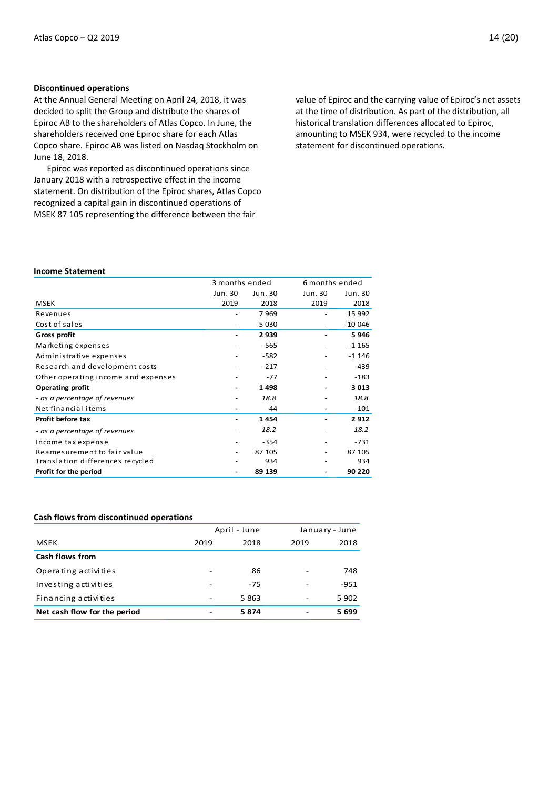## **Discontinued operations**

At the Annual General Meeting on April 24, 2018, it was decided to split the Group and distribute the shares of Epiroc AB to the shareholders of Atlas Copco. In June, the shareholders received one Epiroc share for each Atlas Copco share. Epiroc AB was listed on Nasdaq Stockholm on June 18, 2018.

Epiroc was reported as discontinued operations since January 2018 with a retrospective effect in the income statement. On distribution of the Epiroc shares, Atlas Copco recognized a capital gain in discontinued operations of MSEK 87 105 representing the difference between the fair

value of Epiroc and the carrying value of Epiroc's net assets at the time of distribution. As part of the distribution, all historical translation differences allocated to Epiroc, amounting to MSEK 934, were recycled to the income statement for discontinued operations.

## **Income Statement**

|                                     | 3 months ended |         |         | 6 months ended |  |  |
|-------------------------------------|----------------|---------|---------|----------------|--|--|
|                                     | Jun. 30        | Jun. 30 | Jun. 30 | Jun. 30        |  |  |
| <b>MSEK</b>                         | 2019           | 2018    | 2019    | 2018           |  |  |
| Revenues                            |                | 7969    |         | 15 992         |  |  |
| Cost of sales                       |                | $-5030$ |         | $-100046$      |  |  |
| Gross profit                        |                | 2939    |         | 5946           |  |  |
| Marketing expenses                  |                | $-565$  |         | $-1165$        |  |  |
| Administrative expenses             |                | $-582$  |         | $-1146$        |  |  |
| Research and development costs      |                | $-217$  |         | -439           |  |  |
| Other operating income and expenses |                | $-77$   |         | $-183$         |  |  |
| <b>Operating profit</b>             |                | 1498    |         | 3013           |  |  |
| - as a percentage of revenues       |                | 18.8    |         | 18.8           |  |  |
| Net financial items                 |                | $-44$   |         | $-101$         |  |  |
| Profit before tax                   |                | 1454    |         | 2912           |  |  |
| - as a percentage of revenues       |                | 18.2    |         | 18.2           |  |  |
| Income tax expense                  |                | $-354$  |         | $-731$         |  |  |
| Reamesurement to fair value         | ٠              | 87 105  | ۰       | 87 105         |  |  |
| Translation differences recycled    |                | 934     |         | 934            |  |  |
| Profit for the period               |                | 89 139  |         | 90 220         |  |  |

## **Cash flows from discontinued operations**

|                              |                          | April - June |                              | January - June |
|------------------------------|--------------------------|--------------|------------------------------|----------------|
| <b>MSEK</b>                  | 2019                     | 2018         | 2019                         | 2018           |
| <b>Cash flows from</b>       |                          |              |                              |                |
| Operating activities         | -                        | 86           | $\overline{\phantom{a}}$     | 748            |
| Investing activities         | -                        | $-75$        | $\overline{\phantom{a}}$     | $-951$         |
| Financing activities         | $\overline{\phantom{a}}$ | 5863         | $\qquad \qquad \blacksquare$ | 5902           |
| Net cash flow for the period | ۰                        | 5874         | -                            | 5699           |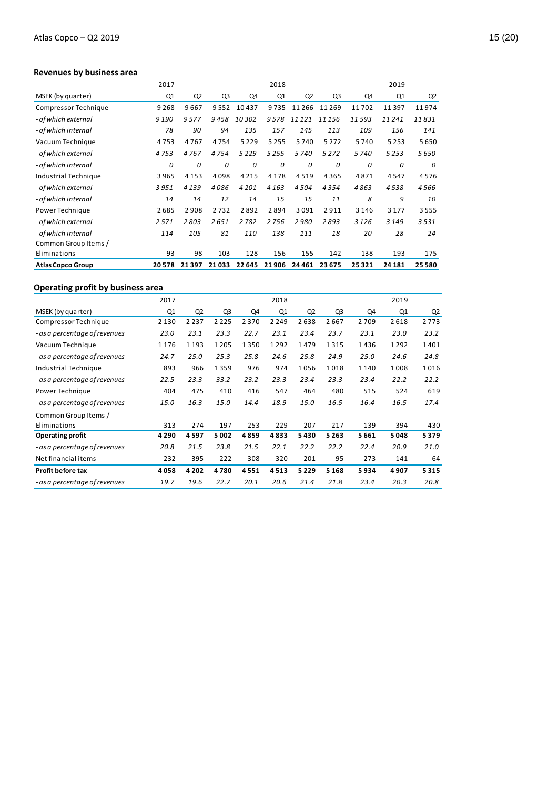## **Revenues by business area**

|                          | 2017    |         |        |         | 2018    |                |                |         | 2019    |                |
|--------------------------|---------|---------|--------|---------|---------|----------------|----------------|---------|---------|----------------|
| MSEK (by quarter)        | Q1      | Q2      | Q3     | Q4      | Q1      | Q <sub>2</sub> | Q <sub>3</sub> | Q4      | Q1      | Q <sub>2</sub> |
| Compressor Technique     | 9 2 6 8 | 9667    | 9552   | 10437   | 9735    | 11 2 6 6       | 11269          | 11702   | 11397   | 11974          |
| - of which external      | 9190    | 9577    | 9458   | 10302   | 9578    | 11 121         | 11156          | 11593   | 11241   | 11831          |
| - of which internal      | 78      | 90      | 94     | 135     | 157     | 145            | 113            | 109     | 156     | 141            |
| Vacuum Technique         | 4753    | 4767    | 4754   | 5 2 2 9 | 5 2 5 5 | 5740           | 5 2 7 2        | 5740    | 5 2 5 3 | 5650           |
| - of which external      | 4753    | 4767    | 4754   | 5 2 2 9 | 5255    | 5740           | 5 2 7 2        | 5740    | 5253    | 5650           |
| - of which internal      | 0       | 0       | 0      | 0       | 0       | 0              | 0              | 0       | 0       | 0              |
| Industrial Technique     | 3965    | 4 1 5 3 | 4098   | 4 2 1 5 | 4 1 7 8 | 4519           | 4365           | 4871    | 4547    | 4576           |
| - of which external      | 3951    | 4139    | 4086   | 4 2 0 1 | 4 1 6 3 | 4504           | 4354           | 4863    | 4538    | 4566           |
| - of which internal      | 14      | 14      | 12     | 14      | 15      | 15             | 11             | 8       | 9       | 10             |
| Power Technique          | 2685    | 2908    | 2732   | 2892    | 2894    | 3091           | 2911           | 3 1 4 6 | 3 1 7 7 | 3555           |
| - of which external      | 2571    | 2803    | 2651   | 2782    | 2756    | 2980           | 2893           | 3 1 2 6 | 3 1 4 9 | 3531           |
| - of which internal      | 114     | 105     | 81     | 110     | 138     | 111            | 18             | 20      | 28      | 24             |
| Common Group Items /     |         |         |        |         |         |                |                |         |         |                |
| Eliminations             | -93     | $-98$   | $-103$ | $-128$  | $-156$  | $-155$         | $-142$         | $-138$  | $-193$  | $-175$         |
| <b>Atlas Copco Group</b> | 20578   | 21397   | 21033  | 22 645  | 21 906  | 24 4 61        | 23 675         | 25321   | 24 18 1 | 25 5 80        |

## **Operating profit by business area**

|                               | 2017    |                |         |        | 2018    |                |        |         | 2019   |                |
|-------------------------------|---------|----------------|---------|--------|---------|----------------|--------|---------|--------|----------------|
| MSEK (by quarter)             | Q1      | Q <sub>2</sub> | Q3      | Q4     | Q1      | Q <sub>2</sub> | Q3     | Q4      | Q1     | Q <sub>2</sub> |
| Compressor Technique          | 2 1 3 0 | 2 2 3 7        | 2 2 2 5 | 2370   | 2 2 4 9 | 2638           | 2667   | 2709    | 2618   | 2773           |
| - as a percentage of revenues | 23.0    | 23.1           | 23.3    | 22.7   | 23.1    | 23.4           | 23.7   | 23.1    | 23.0   | 23.2           |
| Vacuum Technique              | 1 1 7 6 | 1 1 9 3        | 1 2 0 5 | 1350   | 1292    | 1479           | 1315   | 1436    | 1292   | 1401           |
| - as a percentage of revenues | 24.7    | 25.0           | 25.3    | 25.8   | 24.6    | 25.8           | 24.9   | 25.0    | 24.6   | 24.8           |
| Industrial Technique          | 893     | 966            | 1359    | 976    | 974     | 1056           | 1018   | 1 1 4 0 | 1008   | 1016           |
| - as a percentage of revenues | 22.5    | 23.3           | 33.2    | 23.2   | 23.3    | 23.4           | 23.3   | 23.4    | 22.2   | 22.2           |
| Power Technique               | 404     | 475            | 410     | 416    | 547     | 464            | 480    | 515     | 524    | 619            |
| - as a percentage of revenues | 15.0    | 16.3           | 15.0    | 14.4   | 18.9    | 15.0           | 16.5   | 16.4    | 16.5   | 17.4           |
| Common Group Items /          |         |                |         |        |         |                |        |         |        |                |
| Eliminations                  | $-313$  | $-274$         | $-197$  | $-253$ | $-229$  | $-207$         | $-217$ | $-139$  | $-394$ | -430           |
| <b>Operating profit</b>       | 4 2 9 0 | 4597           | 5002    | 4859   | 4833    | 5430           | 5263   | 5661    | 5048   | 5379           |
| - as a percentage of revenues | 20.8    | 21.5           | 23.8    | 21.5   | 22.1    | 22.2           | 22.2   | 22.4    | 20.9   | 21.0           |
| Net financial items           | $-232$  | $-395$         | $-222$  | $-308$ | $-320$  | $-201$         | $-95$  | 273     | $-141$ | $-64$          |
| Profit before tax             | 4058    | 4 2 0 2        | 4780    | 4551   | 4513    | 5229           | 5168   | 5934    | 4907   | 5315           |
| - as a percentage of revenues | 19.7    | 19.6           | 22.7    | 20.1   | 20.6    | 21.4           | 21.8   | 23.4    | 20.3   | 20.8           |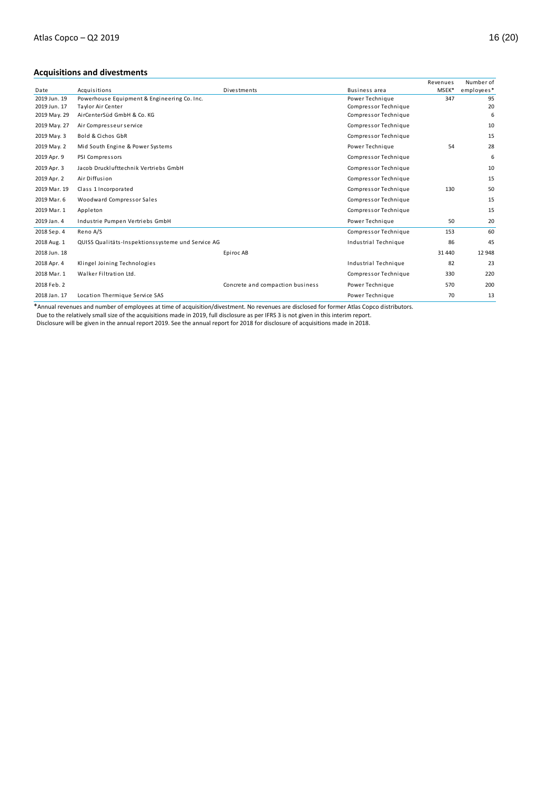## **Acquisitions and divestments**

|              |                                                   |                                  |                      | Revenues | Number of  |
|--------------|---------------------------------------------------|----------------------------------|----------------------|----------|------------|
| Date         | Acquisitions                                      | Divestments                      | <b>Business area</b> | MSEK*    | employees* |
| 2019 Jun. 19 | Powerhouse Equipment & Engineering Co. Inc.       |                                  | Power Technique      | 347      | 95         |
| 2019 Jun. 17 | Taylor Air Center                                 |                                  | Compressor Technique |          | 20         |
| 2019 May. 29 | AirCenterSüd GmbH & Co. KG                        |                                  | Compressor Technique |          | 6          |
| 2019 May. 27 | Air Compresseur service                           |                                  | Compressor Technique |          | 10         |
| 2019 May. 3  | Bold & Cichos GbR                                 |                                  | Compressor Technique |          | 15         |
| 2019 May. 2  | Mid South Engine & Power Systems                  |                                  | Power Technique      | 54       | 28         |
| 2019 Apr. 9  | PSI Compressors                                   |                                  | Compressor Technique |          | 6          |
| 2019 Apr. 3  | Jacob Drucklufttechnik Vertriebs GmbH             |                                  | Compressor Technique |          | 10         |
| 2019 Apr. 2  | Air Diffusion                                     |                                  | Compressor Technique |          | 15         |
| 2019 Mar. 19 | Class 1 Incorporated                              |                                  | Compressor Technique | 130      | 50         |
| 2019 Mar. 6  | Woodward Compressor Sales                         |                                  | Compressor Technique |          | 15         |
| 2019 Mar. 1  | Appleton                                          |                                  | Compressor Technique |          | 15         |
| 2019 Jan. 4  | Industrie Pumpen Vertriebs GmbH                   |                                  | Power Technique      | 50       | 20         |
| 2018 Sep. 4  | Reno A/S                                          |                                  | Compressor Technique | 153      | 60         |
| 2018 Aug. 1  | QUISS Qualitäts-Inspektionssysteme und Service AG |                                  | Industrial Technique | 86       | 45         |
| 2018 Jun. 18 |                                                   | Epiroc AB                        |                      | 31 440   | 12 948     |
| 2018 Apr. 4  | Klingel Joining Technologies                      |                                  | Industrial Technique | 82       | 23         |
| 2018 Mar. 1  | Walker Filtration Ltd.                            |                                  | Compressor Technique | 330      | 220        |
| 2018 Feb. 2  |                                                   | Concrete and compaction business | Power Technique      | 570      | 200        |
| 2018 Jan. 17 | Location Thermique Service SAS                    |                                  | Power Technique      | 70       | 13         |

\*Annual revenues and number of employees at time of acquisition/divestment. No revenues are disclosed for former Atlas Copco distributors.

Due to the relatively small size of the acquisitions made in 2019, full disclosure as per IFRS 3 is not given in this interim report.

Disclosure will be given in the annual report 2019. See the annual report for 2018 for disclosure of acquisitions made in 2018.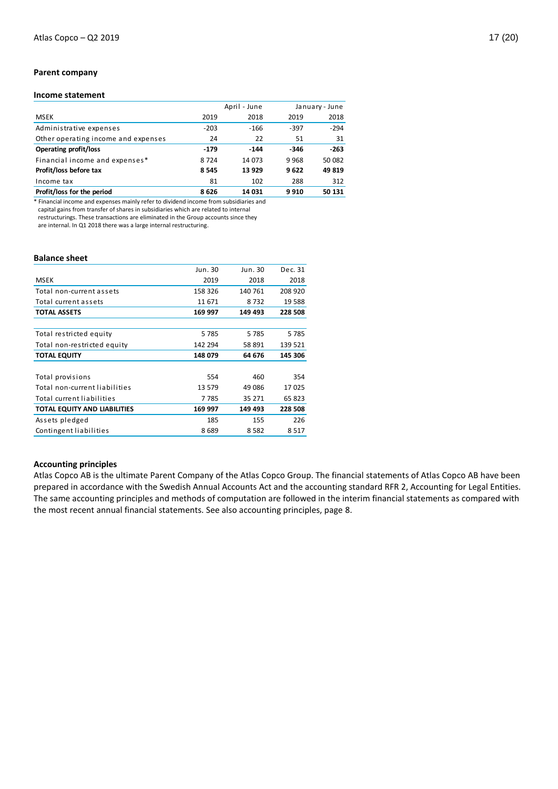## **Parent company**

## **Income statement**

|                                     |        | April - June |      | January - June |
|-------------------------------------|--------|--------------|------|----------------|
| <b>MSEK</b>                         | 2019   | 2018         | 2019 | 2018           |
| Administrative expenses             | $-203$ | $-166$       | -397 | $-294$         |
| Other operating income and expenses | 24     | 22           | 51   | 31             |
| <b>Operating profit/loss</b>        | $-179$ | $-144$       | -346 | $-263$         |
| Financial income and expenses*      | 8724   | 14 073       | 9968 | 50 082         |
| Profit/loss before tax              | 8545   | 13 9 29      | 9622 | 49819          |
| Income tax                          | 81     | 102          | 288  | 312            |
| Profit/loss for the period          | 8626   | 14 031       | 9910 | 50 131         |

\* Financial income and expenses mainly refer to dividend income from subsidiaries and capital gains from transfer of shares in subsidiaries which are related to internal restructurings. These transactions are eliminated in the Group accounts since they are internal. In Q1 2018 there was a large internal restructuring.

#### **Balance sheet**

|                                     | Jun. 30 | Jun. 30 | Dec. 31 |
|-------------------------------------|---------|---------|---------|
| <b>MSEK</b>                         | 2019    | 2018    | 2018    |
| Total non-current assets            | 158 326 | 140 761 | 208 920 |
| Total current assets                | 11 671  | 8732    | 19 588  |
| <b>TOTAL ASSETS</b>                 | 169 997 | 149 493 | 228 508 |
|                                     |         |         |         |
| Total restricted equity             | 5785    | 5785    | 5785    |
| Total non-restricted equity         | 142 294 | 58 891  | 139 521 |
| <b>TOTAL EQUITY</b>                 | 148 079 | 64 676  | 145 306 |
|                                     |         |         |         |
| Total provisions                    | 554     | 460     | 354     |
| Total non-current liabilities       | 13 579  | 49 086  | 17 025  |
| Total current liabilities           | 7785    | 35 271  | 65 823  |
| <b>TOTAL EQUITY AND LIABILITIES</b> | 169 997 | 149 493 | 228 508 |
| Assets pledged                      | 185     | 155     | 226     |
| Contingent liabilities              | 8689    | 8 5 8 2 | 8 5 1 7 |
|                                     |         |         |         |

## **Accounting principles**

Atlas Copco AB is the ultimate Parent Company of the Atlas Copco Group. The financial statements of Atlas Copco AB have been prepared in accordance with the Swedish Annual Accounts Act and the accounting standard RFR 2, Accounting for Legal Entities. The same accounting principles and methods of computation are followed in the interim financial statements as compared with the most recent annual financial statements. See also accounting principles, page 8.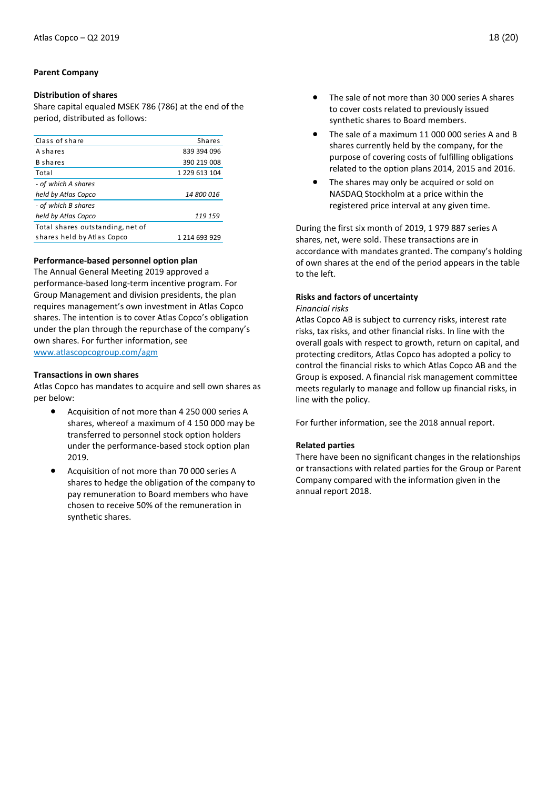## **Parent Company**

## **Distribution of shares**

Share capital equaled MSEK 786 (786) at the end of the period, distributed as follows:

| Class of share                   | <b>Shares</b>     |
|----------------------------------|-------------------|
| A shares                         | 839 394 096       |
| <b>B</b> shares                  | 390 219 008       |
| Total                            | 1 229 613 104     |
| - of which A shares              |                   |
| held by Atlas Copco              | <i>14 800 016</i> |
| - of which B shares              |                   |
| held by Atlas Copco              | 119 159           |
| Total shares outstanding, net of |                   |
| shares held by Atlas Copco       | 1 214 693 929     |
|                                  |                   |

## **Performance-based personnel option plan**

The Annual General Meeting 2019 approved a performance-based long-term incentive program. For Group Management and division presidents, the plan requires management's own investment in Atlas Copco shares. The intention is to cover Atlas Copco's obligation under the plan through the repurchase of the company's own shares. For further information, see [www.atlascopcogroup.com/agm](http://www.atlascopcogroup.com/agm) 

**Transactions in own shares**

Atlas Copco has mandates to acquire and sell own shares as per below:

- Acquisition of not more than 4 250 000 series A shares, whereof a maximum of 4 150 000 may be transferred to personnel stock option holders under the performance-based stock option plan 2019.
- Acquisition of not more than 70 000 series A shares to hedge the obligation of the company to pay remuneration to Board members who have chosen to receive 50% of the remuneration in synthetic shares.
- The sale of not more than 30 000 series A shares to cover costs related to previously issued synthetic shares to Board members.
- The sale of a maximum 11 000 000 series A and B shares currently held by the company, for the purpose of covering costs of fulfilling obligations related to the option plans 2014, 2015 and 2016.
- The shares may only be acquired or sold on NASDAQ Stockholm at a price within the registered price interval at any given time.

During the first six month of 2019, 1 979 887 series A shares, net, were sold. These transactions are in accordance with mandates granted. The company's holding of own shares at the end of the period appears in the table to the left.

#### **Risks and factors of uncertainty** *Financial risks*

Atlas Copco AB is subject to currency risks, interest rate risks, tax risks, and other financial risks. In line with the overall goals with respect to growth, return on capital, and protecting creditors, Atlas Copco has adopted a policy to control the financial risks to which Atlas Copco AB and the Group is exposed. A financial risk management committee meets regularly to manage and follow up financial risks, in line with the policy.

For further information, see the 2018 annual report.

## **Related parties**

There have been no significant changes in the relationships or transactions with related parties for the Group or Parent Company compared with the information given in the annual report 2018.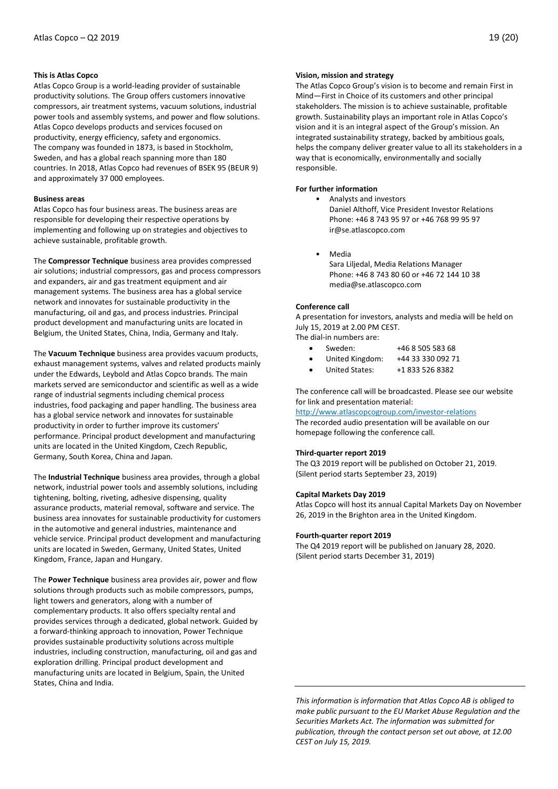## **This is Atlas Copco**

Atlas Copco Group is a world-leading provider of sustainable productivity solutions. The Group offers customers innovative compressors, air treatment systems, vacuum solutions, industrial power tools and assembly systems, and power and flow solutions. Atlas Copco develops products and services focused on productivity, energy efficiency, safety and ergonomics. The company was founded in 1873, is based in Stockholm, Sweden, and has a global reach spanning more than 180 countries. In 2018, Atlas Copco had revenues of BSEK 95 (BEUR 9) and approximately 37 000 employees.

#### **Business areas**

Atlas Copco has four business areas. The business areas are responsible for developing their respective operations by implementing and following up on strategies and objectives to achieve sustainable, profitable growth.

The **Compressor Technique** business area provides compressed air solutions; industrial compressors, gas and process compressors and expanders, air and gas treatment equipment and air management systems. The business area has a global service network and innovates for sustainable productivity in the manufacturing, oil and gas, and process industries. Principal product development and manufacturing units are located in Belgium, the United States, China, India, Germany and Italy.

The **Vacuum Technique** business area provides vacuum products, exhaust management systems, valves and related products mainly under the Edwards, Leybold and Atlas Copco brands. The main markets served are semiconductor and scientific as well as a wide range of industrial segments including chemical process industries, food packaging and paper handling. The business area has a global service network and innovates for sustainable productivity in order to further improve its customers' performance. Principal product development and manufacturing units are located in the United Kingdom, Czech Republic, Germany, South Korea, China and Japan.

The **Industrial Technique** business area provides, through a global network, industrial power tools and assembly solutions, including tightening, bolting, riveting, adhesive dispensing, quality assurance products, material removal, software and service. The business area innovates for sustainable productivity for customers in the automotive and general industries, maintenance and vehicle service. Principal product development and manufacturing units are located in Sweden, Germany, United States, United Kingdom, France, Japan and Hungary.

The **Power Technique** business area provides air, power and flow solutions through products such as mobile compressors, pumps, light towers and generators, along with a number of complementary products. It also offers specialty rental and provides services through a dedicated, global network. Guided by a forward-thinking approach to innovation, Power Technique provides sustainable productivity solutions across multiple industries, including construction, manufacturing, oil and gas and exploration drilling. Principal product development and manufacturing units are located in Belgium, Spain, the United States, China and India.

#### **Vision, mission and strategy**

The Atlas Copco Group's vision is to become and remain First in Mind—First in Choice of its customers and other principal stakeholders. The mission is to achieve sustainable, profitable growth. Sustainability plays an important role in Atlas Copco's vision and it is an integral aspect of the Group's mission. An integrated sustainability strategy, backed by ambitious goals, helps the company deliver greater value to all its stakeholders in a way that is economically, environmentally and socially responsible.

## **For further information**

• Analysts and investors Daniel Althoff, Vice President Investor Relations Phone: +46 8 743 95 97 or +46 768 99 95 97 [ir@se.atlascopco.com](mailto:ir@se.atlascopco.com)

• Media Sara Liljedal, Media Relations Manager Phone: +46 8 743 80 60 or +46 72 144 10 38 [media@se.atlascopco.com](mailto:media@se.atlascopco.com)

#### **Conference call**

A presentation for investors, analysts and media will be held on July 15, 2019 at 2.00 PM CEST.

The dial-in numbers are:

- Sweden: +46 8 505 583 68
- United Kingdom: +44 33 330 092 71
- United States: +1 833 526 8382

The conference call will be broadcasted. Please see our website for link and presentation material:

<http://www.atlascopcogroup.com/investor-relations> The recorded audio presentation will be available on our homepage following the conference call.

#### **Third-quarter report 2019**

The Q3 2019 report will be published on October 21, 2019. (Silent period starts September 23, 2019)

## **Capital Markets Day 2019**

Atlas Copco will host its annual Capital Markets Day on November 26, 2019 in the Brighton area in the United Kingdom.

#### **Fourth-quarter report 2019**

The Q4 2019 report will be published on January 28, 2020. (Silent period starts December 31, 2019)

*This information is information that Atlas Copco AB is obliged to make public pursuant to the EU Market Abuse Regulation and the Securities Markets Act. The information was submitted for publication, through the contact person set out above, at 12.00 CEST on July 15, 2019.*